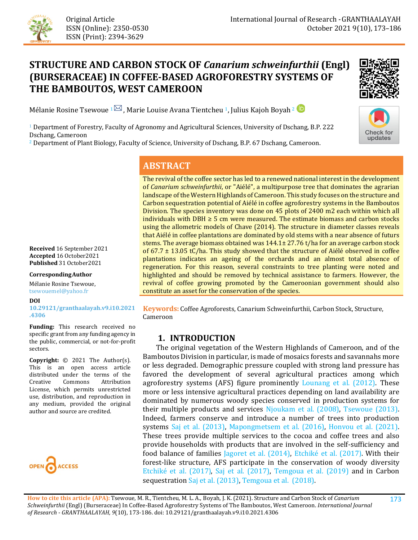

# **STRUCTURE AND CARBON STOCK OF** *Canarium schweinfurthii* **(Engl) (BURSERACEAE) IN COFFEE-BASED AGROFORESTRY SYSTEMS OF THE BAMBOUTOS, WEST CAMEROON**



**Check for** updates

Mélanie Rosine Tsewoue <sup>1</sub> $\boxtimes$ , Marie Louise Avana Tientcheu <sup>1</sup>, Julius Kajoh Boyah<sup>2</sup></sup>

<sup>1</sup> Department of Forestry, Faculty of Agronomy and Agricultural Sciences, University of Dschang, B.P. 222 Dschang, Cameroon

<sup>2</sup> Department of Plant Biology, Faculty of Science, University of Dschang, B.P. 67 Dschang, Cameroon.

### **ABSTRACT**

The revival of the coffee sector has led to a renewed national interest in the development of *Canarium schweinfurthii*, or "Aiélé", a multipurpose tree that dominates the agrarian landscape of the Western Highlands of Cameroon. This study focuses on the structure and Carbon sequestration potential of Aiélé in coffee agroforestry systems in the Bamboutos Division. The species inventory was done on 45 plots of 2400 m2 each within which all individuals with DBH  $\geq$  5 cm were measured. The estimate biomass and carbon stocks using the allometric models of Chave (2014). The structure in diameter classes reveals that Aiélé in coffee plantations are dominated by old stems with a near absence of futurs stems. The average biomass obtained was  $144.1 \pm 27.76$  t/ha for an average carbon stock of  $67.7 \pm 13.05$  tC/ha. This study showed that the structure of Aiélé observed in coffee plantations indicates an ageing of the orchards and an almost total absence of regeneration. For this reason, several constraints to tree planting were noted and highlighted and should be removed by technical assistance to farmers. However, the revival of coffee growing promoted by the Cameroonian government should also constitute an asset for the conservation of the species.

**Keywords:** Coffee Agroforests, Canarium Schweinfurthii, Carbon Stock, Structure, Cameroon

### **1. INTRODUCTION**

 The original vegetation of the Western Highlands of Cameroon, and of the Bamboutos Division in particular, is made of mosaics forests and savannahs more or less degraded. Demographic pressure coupled with strong land pressure has favored the development of several agricultural practices among which agroforestry systems (AFS) figure prominently [Lounang et al. \(2012\).](#page-11-0) These more or less intensive agricultural practices depending on land availability are dominated by numerous woody species conserved in production systems for their multiple products and services [Njoukam et al. \(2008\),](#page-11-1) [Tsewoue \(2013\).](#page-12-0) Indeed, farmers conserve and introduce a number of trees into production systems [Saj et al. \(2013\),](#page-12-1) [Mapongmetsem et al. \(2016\),](#page-11-2) [Honvou et al. \(2021\).](#page-10-0) These trees provide multiple services to the cocoa and coffee trees and also provide households with products that are involved in the self-sufficiency and food balance of families [Jagoret et al. \(2014\),](#page-11-3) [Etchiké et al. \(2017](#page-10-1)[\)](#page-10-1). With their forest-like structure, AFS participate in the conservation of woody diversity [Etchiké et al. \(2017](#page-10-1)[\)](#page-10-1), [Saj et al. \(2017\),](#page-12-2) [Temgoua et al. \(2019\)](#page-12-3) and in Carbon sequestratio[n Saj et al. \(2013\),](#page-12-1) [Temgoua et al. \(2018\).](#page-12-4)

**Received** 16 September 2021 **Accepted** 16 October2021 **Published** 31 October2021

#### **CorrespondingAuthor**

Mélanie Rosine Tsewoue, tsewouemel@yahoo.fr

**DOI** 

**[10.29121/granthaalayah.v9.i10.2021](https://dx.doi.org/10.29121/granthaalayah.v9.i10.2021.4306) [.4306](https://dx.doi.org/10.29121/granthaalayah.v9.i10.2021.4306)**

**Funding:** This research received no specific grant from any funding agency in the public, commercial, or not-for-profit sectors.

**Copyright:** © 2021 The Author(s). This is an open access article distributed under the terms of the<br>Creative Commons Attribution Creative Commons Attribution License, which permits unrestricted use, distribution, and reproduction in any medium, provided the original author and source are credited.

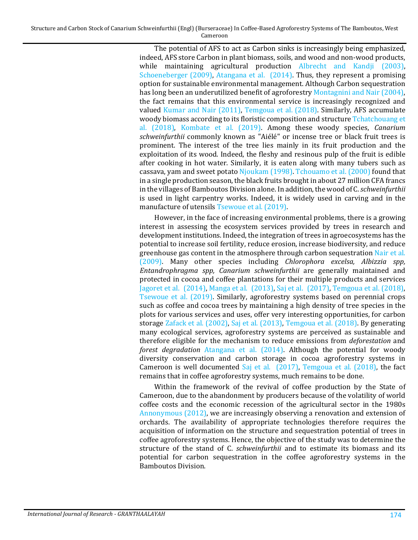> The potential of AFS to act as Carbon sinks is increasingly being emphasized, indeed, AFS store Carbon in plant biomass, soils, and wood and non-wood products, while maintaining agricultural production [Albrecht and Kandji \(2003\),](#page-9-0) [Schoeneberger \(2009\),](#page-12-5) [Atangana et al. \(2014\).](#page-10-2) Thus, they represent a promising option for sustainable environmental management. Although Carbon sequestration has long been an underutilized benefit of agroforestry [Montagnini and Nair \(2004\),](#page-11-4) the fact remains that this environmental service is increasingly recognized and valued [Kumar and Nair \(2011\),](#page-11-5) [Temgoua et al. \(2018\).](#page-12-4) Similarly, AFS accumulate woody biomass according to its floristic composition and structur[e Tchatchouang et](#page-12-6)  [al. \(2018\),](#page-12-6) [Kombate et al. \(2019\).](#page-11-6) Among these woody species, *Canarium schweinfurthii* commonly known as "Aiélé" or incense tree or black fruit trees is prominent. The interest of the tree lies mainly in its fruit production and the exploitation of its wood. Indeed, the fleshy and resinous pulp of the fruit is edible after cooking in hot water. Similarly, it is eaten along with many tubers such as cassava, yam and sweet potato [Njoukam \(1998\).](#page-11-7) [Tchouamo et al. \(2000\)](#page-12-7) found that in a single production season, the black fruits brought in about 27 million CFA francs in the villages of Bamboutos Division alone. In addition, the wood of C. *schweinfurthii* is used in light carpentry works. Indeed, it is widely used in carving and in the manufacture of utensils [Tsewoue et al. \(2019\).](#page-12-8)

> However, in the face of increasing environmental problems, there is a growing interest in assessing the ecosystem services provided by trees in research and development institutions. Indeed, the integration of trees in agroecosystems has the potential to increase soil fertility, reduce erosion, increase biodiversity, and reduce greenhouse gas content in the atmosphere through carbon sequestration [Nair et al.](#page-11-8)  [\(2009\).](#page-11-8) Many other species including *Chlorophora excelsa, Albizzia spp, Entandrophragma spp, Canarium schweinfurthii* are generally maintained and protected in cocoa and coffee plantations for their multiple products and services [Jagoret et al. \(2014\),](#page-11-3) [Manga et al. \(2013\),](#page-11-9) [Saj et al. \(2017\),](#page-12-2) [Temgoua et al. \(2018\),](#page-12-4) [Tsewoue et al. \(2019\).](#page-12-8) Similarly, agroforestry systems based on perennial crops such as coffee and cocoa trees by maintaining a high density of tree species in the plots for various services and uses, offer very interesting opportunities, for carbon storage [Zafack et al. \(2002\),](#page-13-0) [Saj et al. \(2013\),](#page-12-1) [Temgoua et al. \(2018\).](#page-12-4) By generating many ecological services, agroforestry systems are perceived as sustainable and therefore eligible for the mechanism to reduce emissions from *deforestation* and *forest degradation* [Atangana et al. \(2014\).](#page-10-2) Although the potential for woody diversity conservation and carbon storage in cocoa agroforestry systems in Cameroon is well documented Saj et al.  $(2017)$ , Temgoua et al.  $(2018)$ , the fact remains that in coffee agroforestry systems, much remains to be done.

> Within the framework of the revival of coffee production by the State of Cameroon, due to the abandonment by producers because of the volatility of world coffee costs and the economic recession of the agricultural sector in the 1980s [Annonymous \(2012\),](#page-10-3) we are increasingly observing a renovation and extension of orchards. The availability of appropriate technologies therefore requires the acquisition of information on the structure and sequestration potential of trees in coffee agroforestry systems. Hence, the objective of the study was to determine the structure of the stand of C. *schweinfurthii* and to estimate its biomass and its potential for carbon sequestration in the coffee agroforestry systems in the Bamboutos Division.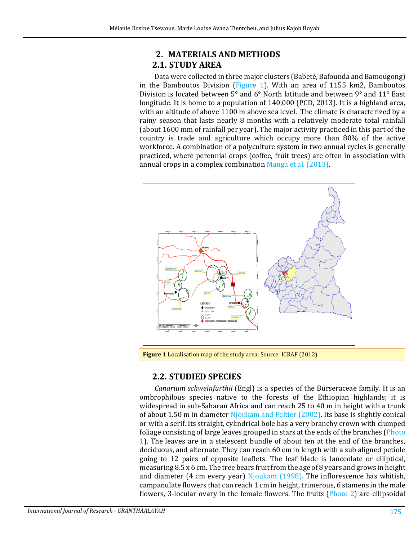### **2. MATERIALS AND METHODS 2.1. STUDY AREA**

Data were collected in three major clusters (Babeté, Bafounda and Bamougong) in the Bamboutos Division [\(Figure 1\)](#page-2-0). With an area of 1155 km2, Bamboutos Division is located between 5° and 6° North latitude and between 9° and 11° East longitude. It is home to a population of 140,000 (PCD, 2013). It is a highland area, with an altitude of above 1100 m above sea level. The climate is characterized by a rainy season that lasts nearly 8 months with a relatively moderate total rainfall (about 1600 mm of rainfall per year). The major activity practiced in this part of the country is trade and agriculture which occupy more than 80% of the active workforce. A combination of a polyculture system in two annual cycles is generally practiced, where perennial crops (coffee, fruit trees) are often in association with annual crops in a complex combination [Manga et al. \(2013\).](#page-11-9)



<span id="page-2-0"></span>**Figure 1** Localisation map of the study area: Source: ICRAF (2012)

## **2.2. STUDIED SPECIES**

*Canarium schweinfurthii* (Engl) is a species of the Burseraceae family. It is an ombrophilous species native to the forests of the Ethiopian highlands; it is widespread in sub-Saharan Africa and can reach 25 to 40 m in height with a trunk of about 1.50 m in diameter [Njoukam and Peltier \(2002\).](#page-11-10) Its base is slightly conical or with a serif. Its straight, cylindrical bole has a very branchy crown with clumped foliage consisting of large leaves grouped in stars at the ends of the branches [\(Photo](#page-3-0)  [1\)](#page-3-0). The leaves are in a stelescent bundle of about ten at the end of the branches, deciduous, and alternate. They can reach 60 cm in length with a sub aligned petiole going to 12 pairs of opposite leaflets. The leaf blade is lanceolate or elliptical, measuring 8.5 x 6 cm. The tree bears fruit from the age of 8 years and grows in height and diameter (4 cm every year) [Njoukam \(1998\).](#page-11-7) The inflorescence has whitish, campanulate flowers that can reach 1 cm in height, trimerous, 6 stamens in the male flowers, 3-locular ovary in the female flowers. The fruits [\(Photo 2\)](#page-3-1) are ellipsoidal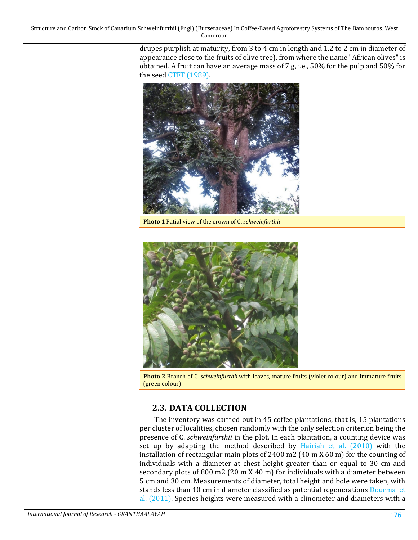> drupes purplish at maturity, from 3 to 4 cm in length and 1.2 to 2 cm in diameter of appearance close to the fruits of olive tree), from where the name "African olives" is obtained. A fruit can have an average mass of 7 g, i.e., 50% for the pulp and 50% for the seed [CTFT \(1989\).](#page-10-4)



**Photo 1** Patial view of the crown of C. *schweinfurthii*

<span id="page-3-0"></span>

**Photo 2** Branch of C. *schweinfurthii* with leaves, mature fruits (violet colour) and immature fruits (green colour)

### <span id="page-3-1"></span>**2.3. DATA COLLECTION**

The inventory was carried out in 45 coffee plantations, that is, 15 plantations per cluster of localities, chosen randomly with the only selection criterion being the presence of C. *schweinfurthii* in the plot. In each plantation, a counting device was set up by adapting the method described by [Hairiah et al. \(2010\)](#page-10-5) with the installation of rectangular main plots of 2400 m2 (40 m X 60 m) for the counting of individuals with a diameter at chest height greater than or equal to 30 cm and secondary plots of 800 m2 (20 m X 40 m) for individuals with a diameter between 5 cm and 30 cm. Measurements of diameter, total height and bole were taken, with stands less than 10 cm in diameter classified as potential regenerations [Dourma et](#page-10-6)  [al. \(2011\).](#page-10-6) Species heights were measured with a clinometer and diameters with a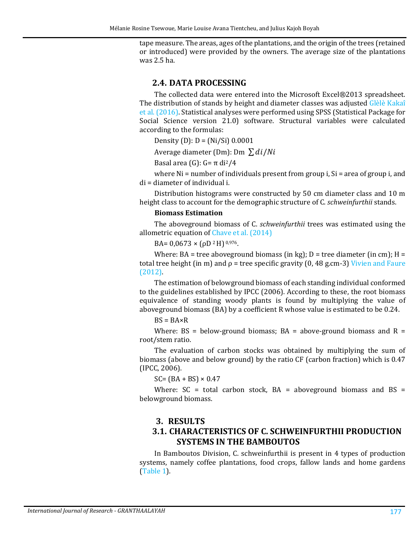tape measure. The areas, ages of the plantations, and the origin of the trees (retained or introduced) were provided by the owners. The average size of the plantations was 2.5 ha.

#### **2.4. DATA PROCESSING**

The collected data were entered into the Microsoft Excel®2013 spreadsheet. The distribution of stands by height and diameter classes was adjusted [Glèlè Kakaî](#page-10-7)  [et al. \(2016\).](#page-10-7) Statistical analyses were performed using SPSS (Statistical Package for Social Science version 21.0) software. Structural variables were calculated according to the formulas:

Density (D):  $D = (Ni/Si) 0.0001$ 

Average diameter (Dm): Dm  $\sum di/Ni$ 

Basal area (G):  $G = \pi$  di<sup>2</sup>/4

where Ni = number of individuals present from group i, Si = area of group i, and di = diameter of individual i.

Distribution histograms were constructed by 50 cm diameter class and 10 m height class to account for the demographic structure of C. *schweinfurthii* stands.

#### **Biomass Estimation**

The aboveground biomass of C. *schweinfurthii* trees was estimated using the allometric equation of [Chave et al. \(2014\)](#page-10-8)

BA=  $0.0673 \times (\rho D^2 H)^{0.976}$ .

Where: BA = tree aboveground biomass (in kg); D = tree diameter (in cm); H = total tree height (in m) and  $\rho$  = tree specific gravity (0, 48 g.cm-3) Vivien and Faure [\(2012\).](#page-13-1)

The estimation of belowground biomass of each standing individual conformed to the guidelines established by IPCC (2006). According to these, the root biomass equivalence of standing woody plants is found by multiplying the value of aboveground biomass (BA) by a coefficient R whose value is estimated to be 0.24.

 $BS = BA \times R$ 

Where:  $BS = below$ -ground biomass;  $BA = above$ -ground biomass and  $R =$ root/stem ratio.

The evaluation of carbon stocks was obtained by multiplying the sum of biomass (above and below ground) by the ratio CF (carbon fraction) which is 0.47 (IPCC, 2006).

 $SC = (BA + BS) \times 0.47$ 

Where:  $SC = total$  carbon stock,  $BA = above$ ground biomass and  $BS =$ belowground biomass.

#### **3. RESULTS**

### **3.1. CHARACTERISTICS OF C. SCHWEINFURTHII PRODUCTION SYSTEMS IN THE BAMBOUTOS**

In Bamboutos Division, C. schweinfurthii is present in 4 types of production systems, namely coffee plantations, food crops, fallow lands and home gardens [\(Table 1\)](#page-5-0).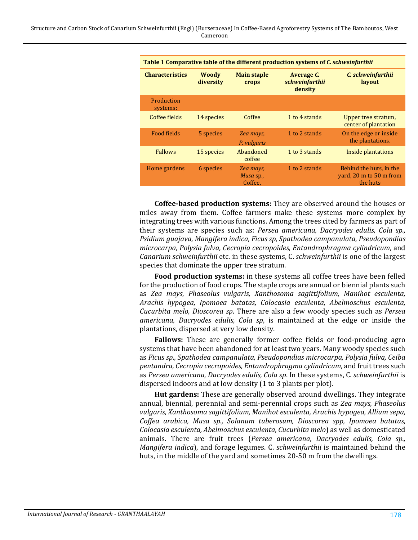<span id="page-5-0"></span>

| Table 1 Comparative table of the different production systems of C. schweinfurthii |                           |                                   |                                         |                                                                |  |
|------------------------------------------------------------------------------------|---------------------------|-----------------------------------|-----------------------------------------|----------------------------------------------------------------|--|
| <b>Characteristics</b>                                                             | <b>Woody</b><br>diversity | <b>Main staple</b><br>crops       | Average C.<br>schweinfurthii<br>density | C. schweinfurthii<br>layout                                    |  |
| Production<br>systems:                                                             |                           |                                   |                                         |                                                                |  |
| Coffee fields                                                                      | 14 species                | Coffee                            | 1 to 4 stands                           | Upper tree stratum,<br>center of plantation                    |  |
| Food fields                                                                        | 5 species                 | Zea mays,<br>P. vulgaris          | 1 to 2 stands                           | On the edge or inside<br>the plantations.                      |  |
| <b>Fallows</b>                                                                     | 15 species                | Abandoned<br>coffee               | 1 to 3 stands                           | Inside plantations                                             |  |
| Home gardens                                                                       | 6 species                 | Zea mays,<br>Musa sp.,<br>Coffee, | 1 to 2 stands                           | Behind the huts, in the<br>yard, 20 m to 50 m from<br>the huts |  |

**Coffee-based production systems:** They are observed around the houses or miles away from them. Coffee farmers make these systems more complex by integrating trees with various functions. Among the trees cited by farmers as part of their systems are species such as: *Persea americana, Dacryodes edulis, Cola sp., Psidium guajava, Mangifera indica, Ficus sp, Spathodea campanulata, Pseudopondias microcarpa, Polysia fulva, Cecropia cecropoîdes, Entandrophragma cylindricum*, and *Canarium schweinfurthii* etc. in these systems, C. *schweinfurthii* is one of the largest species that dominate the upper tree stratum.

**Food production systems:** in these systems all coffee trees have been felled for the production of food crops. The staple crops are annual or biennial plants such as *Zea mays*, *Phaseolus vulgaris, Xanthosoma sagittifolium, Manihot esculenta, Arachis hypogea, Ipomoea batatas, Colocasia esculenta, Abelmoschus esculenta, Cucurbita melo, Dioscorea sp*. There are also a few woody species such as *Persea americana, Dacryodes edulis, Cola sp*, is maintained at the edge or inside the plantations, dispersed at very low density.

**Fallows:** These are generally former coffee fields or food-producing agro systems that have been abandoned for at least two years. Many woody species such as *Ficus sp., Spathodea campanulata, Pseudopondias microcarpa, Polysia fulva, Ceiba pentandra, Cecropia cecropoides, Entandrophragma cylindricum*, and fruit trees such as *Persea americana, Dacryodes edulis, Cola sp*. In these systems, C. *schweinfurthii* is dispersed indoors and at low density (1 to 3 plants per plot).

**Hut gardens:** These are generally observed around dwellings. They integrate annual, biennial, perennial and semi-perennial crops such as *Zea mays, Phaseolus vulgaris, Xanthosoma sagittifolium, Manihot esculenta, Arachis hypogea, Allium sepa, Coffea arabica, Musa sp., Solanum tuberosum, Dioscorea spp, Ipomoea batatas, Colocasia esculenta, Abelmoschus esculenta, Cucurbita melo*) as well as domesticated animals. There are fruit trees (*Persea americana, Dacryodes edulis, Cola sp., Mangifera indica*), and forage legumes. C. *schweinfurthii* is maintained behind the huts, in the middle of the yard and sometimes 20-50 m from the dwellings.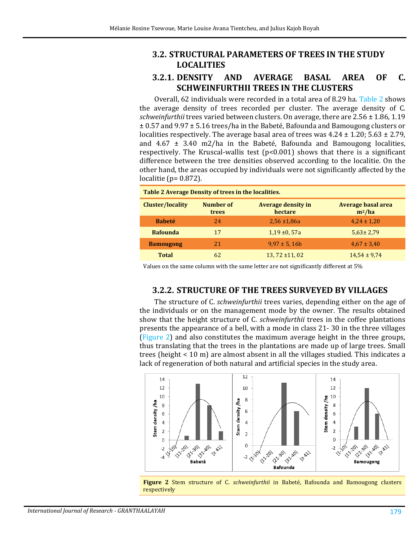### **3.2. STRUCTURAL PARAMETERS OF TREES IN THE STUDY LOCALITIES**

### **3.2.1. DENSITY AND AVERAGE BASAL AREA OF C. SCHWEINFURTHII TREES IN THE CLUSTERS**

Overall, 62 individuals were recorded in a total area of 8.29 ha. [Table 2](#page-6-0) shows the average density of trees recorded per cluster. The average density of C. *schweinfurthii* trees varied between clusters. On average, there are 2.56 ± 1.86, 1.19 ± 0.57 and 9.97 ± 5.16 trees/ha in the Babeté, Bafounda and Bamougong clusters or localities respectively. The average basal area of trees was  $4.24 \pm 1.20$ ;  $5.63 \pm 2.79$ , and  $4.67 \pm 3.40$  m2/ha in the Babeté, Bafounda and Bamougong localities, respectively. The Kruscal-wallis test (p<0.001) shows that there is a significant difference between the tree densities observed according to the localitie. On the other hand, the areas occupied by individuals were not significantly affected by the localitie (p= 0.872).

<span id="page-6-0"></span>

| Table 2 Average Density of trees in the localities. |                                                            |                     |                                       |  |  |
|-----------------------------------------------------|------------------------------------------------------------|---------------------|---------------------------------------|--|--|
| <b>Cluster/locality</b>                             | Number of<br><b>Average density in</b><br>hectare<br>trees |                     | <b>Average basal area</b><br>$m^2/ha$ |  |  |
| <b>Babeté</b>                                       | 24                                                         | $2.56 \pm 1.86a$    | $4,24 \pm 1,20$                       |  |  |
| <b>Bafounda</b>                                     | 17                                                         | $1,19 \pm 0,57a$    | $5,63 \pm 2,79$                       |  |  |
| <b>Bamougong</b>                                    | 2.1                                                        | $9.97 \pm 5.16$     | $4.67 \pm 3.40$                       |  |  |
| <b>Total</b>                                        | 62                                                         | $13, 72 \pm 11, 02$ | $14,54 \pm 9,74$                      |  |  |

Values on the same column with the same letter are not significantly different at 5%

#### **3.2.2. STRUCTURE OF THE TREES SURVEYED BY VILLAGES**

The structure of C. *schweinfurthii* trees varies, depending either on the age of the individuals or on the management mode by the owner. The results obtained show that the height structure of C. *schweinfurthii* trees in the coffee plantations presents the appearance of a bell, with a mode in class 21- 30 in the three villages [\(Figure 2\)](#page-6-1) and also constitutes the maximum average height in the three groups, thus translating that the trees in the plantations are made up of large trees. Small trees (height < 10 m) are almost absent in all the villages studied. This indicates a lack of regeneration of both natural and artificial species in the study area.



<span id="page-6-1"></span>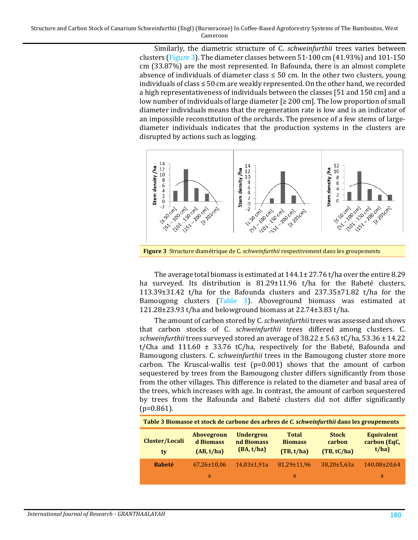Similarly, the diametric structure of C. *schweinfurthii* trees varies between clusters [\(Figure 3\)](#page-7-0). The diameter classes between 51-100 cm (41.93%) and 101-150 cm (33.87%) are the most represented. In Bafounda, there is an almost complete absence of individuals of diameter class  $\leq$  50 cm. In the other two clusters, young individuals of class  $\leq 50$  cm are weakly represented. On the other hand, we recorded a high representativeness of individuals between the classes [51 and 150 cm] and a low number of individuals of large diameter [≥ 200 cm]. The low proportion of small diameter individuals means that the regeneration rate is low and is an indicator of an impossible reconstitution of the orchards. The presence of a few stems of largediameter individuals indicates that the production systems in the clusters are disrupted by actions such as logging.



<span id="page-7-0"></span>**Figure 3** Structure diamétrique de C. *schweinfurthii* respectivement dans les groupements

The average total biomass is estimated at 144.1± 27.76 t/ha over the entire 8.29 ha surveyed. Its distribution is 81.29±11.96 t/ha for the Babeté clusters, 113.39±31.42 t/ha for the Bafounda clusters and 237.35±71.82 t/ha for the Bamougong clusters [\(Table 3\)](#page-7-1). Aboveground biomass was estimated at 121.28±23.93 t/ha and belowground biomass at 22.74±3.83 t/ha.

The amount of carbon stored by C. *schweinfurthii* trees was assessed and shows that carbon stocks of C. *schweinfurthii* trees differed among clusters. C. *schweinfurthii* trees surveyed stored an average of 38.22 ± 5.63 tC/ha, 53.36 ± 14.22 t/Cha and 111.60  $\pm$  33.76 tC/ha, respectively for the Babeté, Bafounda and Bamougong clusters. C. *schweinfurthii* trees in the Bamougong cluster store more carbon. The Kruscal-wallis test  $(p=0.001)$  shows that the amount of carbon sequestered by trees from the Bamougong cluster differs significantly from those from the other villages. This difference is related to the diameter and basal area of the trees, which increases with age. In contrast, the amount of carbon sequestered by trees from the Bafounda and Babeté clusters did not differ significantly  $(p=0.861)$ .

<span id="page-7-1"></span>

| Table 3 Biomasse et stock de carbone des arbres de C. schweinfurthii dans les groupements |                                              |                                              |                                              |                                       |                                            |
|-------------------------------------------------------------------------------------------|----------------------------------------------|----------------------------------------------|----------------------------------------------|---------------------------------------|--------------------------------------------|
| Cluster/Locali<br>ty                                                                      | <b>Abovegroun</b><br>d Biomass<br>(AB, t/ha) | <b>Undergrou</b><br>nd Biomass<br>(BA, t/ha) | <b>Total</b><br><b>Biomass</b><br>(TB, t/ha) | <b>Stock</b><br>carbon<br>(TB, tC/ha) | <b>Equivalent</b><br>carbon (EqC,<br>t/ha) |
| <b>Babeté</b>                                                                             | $67,26 \pm 10,06$                            | $14.03 \pm 1.91a$                            | 81.29±11.96                                  | $38.20 \pm 5.63a$                     | 140,08±20,64                               |
|                                                                                           | a                                            |                                              | a                                            |                                       | a                                          |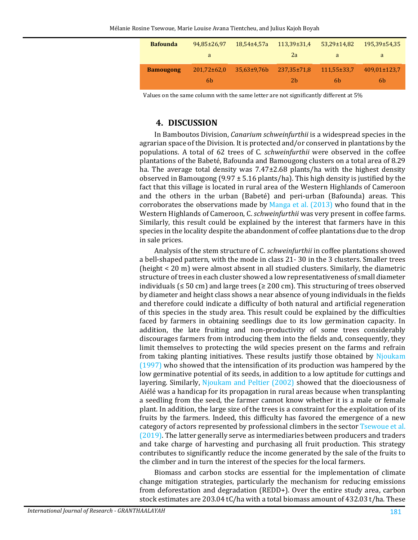| <b>Bafounda</b>  | 94.85±26.97      | $18,54\pm4,57a$    | $113,39\pm31,4$ | $53,29 \pm 14,82$ | $195.39 \pm 54.35$ |
|------------------|------------------|--------------------|-----------------|-------------------|--------------------|
|                  | a                |                    | 2a              | <sub>a</sub>      | a                  |
| <b>Bamougong</b> | $201,72\pm 62,0$ | $35.63 \pm 9.76 b$ | 237.35±71.8     | $111.55 \pm 33.7$ | 409,01±123,7       |
|                  | 6b               |                    | 2b              | 6b.               | .6b                |

Values on the same column with the same letter are not significantly different at 5%

#### **4. DISCUSSION**

In Bamboutos Division, *Canarium schweinfurthii* is a widespread species in the agrarian space of the Division. It is protected and/or conserved in plantations by the populations. A total of 62 trees of C. *schweinfurthii* were observed in the coffee plantations of the Babeté, Bafounda and Bamougong clusters on a total area of 8.29 ha. The average total density was 7.47±2.68 plants/ha with the highest density observed in Bamougong (9.97  $\pm$  5.16 plants/ha). This high density is justified by the fact that this village is located in rural area of the Western Highlands of Cameroon and the others in the urban (Babeté) and peri-urban (Bafounda) areas. This corroborates the observations made by [Manga et al. \(2013\)](#page-11-9) who found that in the Western Highlands of Cameroon, C. *schweinfurthii* was very present in coffee farms. Similarly, this result could be explained by the interest that farmers have in this species in the locality despite the abandonment of coffee plantations due to the drop in sale prices.

Analysis of the stem structure of C. *schweinfurthii* in coffee plantations showed a bell-shaped pattern, with the mode in class 21- 30 in the 3 clusters. Smaller trees (height < 20 m) were almost absent in all studied clusters. Similarly, the diametric structure of trees in each cluster showed a low representativeness of small diameter individuals ( $\leq 50$  cm) and large trees ( $\geq 200$  cm). This structuring of trees observed by diameter and height class shows a near absence of young individuals in the fields and therefore could indicate a difficulty of both natural and artificial regeneration of this species in the study area. This result could be explained by the difficulties faced by farmers in obtaining seedlings due to its low germination capacity. In addition, the late fruiting and non-productivity of some trees considerably discourages farmers from introducing them into the fields and, consequently, they limit themselves to protecting the wild species present on the farms and refrain from taking planting initiatives. These results justify those obtained by [Njoukam](#page-11-11)  [\(1997\)](#page-11-11) who showed that the intensification of its production was hampered by the low germinative potential of its seeds, in addition to a low aptitude for cuttings and layering. Similarly, [Njoukam and Peltier \(2002\)](#page-11-10) showed that the dioeciousness of Aiélé was a handicap for its propagation in rural areas because when transplanting a seedling from the seed, the farmer cannot know whether it is a male or female plant. In addition, the large size of the trees is a constraint for the exploitation of its fruits by the farmers. Indeed, this difficulty has favored the emergence of a new category of actors represented by professional climbers in the secto[r Tsewoue et al.](#page-12-8)  [\(2019\).](#page-12-8) The latter generally serve as intermediaries between producers and traders and take charge of harvesting and purchasing all fruit production. This strategy contributes to significantly reduce the income generated by the sale of the fruits to the climber and in turn the interest of the species for the local farmers.

Biomass and carbon stocks are essential for the implementation of climate change mitigation strategies, particularly the mechanism for reducing emissions from deforestation and degradation (REDD+). Over the entire study area, carbon stock estimates are 203.04 tC/ha with a total biomass amount of 432.03 t/ha. These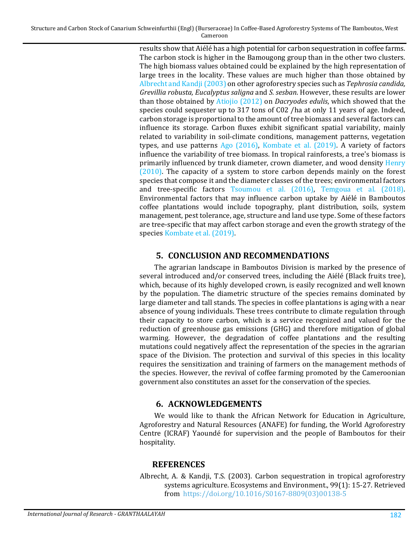> results show that Aiélé has a high potential for carbon sequestration in coffee farms. The carbon stock is higher in the Bamougong group than in the other two clusters. The high biomass values obtained could be explained by the high representation of large trees in the locality. These values are much higher than those obtained by [Albrecht and Kandji \(2003\)](#page-9-0) on other agroforestry species such as *Tephrosia candida, Grevillia robusta, Eucalyptus saligna* and *S. sesban*. However, these results are lower than those obtained by [Atiojio \(2012\)](#page-10-9) on *Dacryodes edulis*, which showed that the species could sequester up to 317 tons of C02 /ha at only 11 years of age. Indeed, carbon storage is proportional to the amount of tree biomass and several factors can influence its storage. Carbon fluxes exhibit significant spatial variability, mainly related to variability in soil-climate conditions, management patterns, vegetation types, and use patterns [Ago \(2016\),](#page-10-10) [Kombate](#page-11-6) et al. (2019). A variety of factors influence the variability of tree biomass. In tropical rainforests, a tree's biomass is primarily influenced by trunk diameter, crown diameter, and wood density [Henry](#page-11-12)  [\(2010\).](#page-11-12) The capacity of a system to store carbon depends mainly on the forest species that compose it and the diameter classes of the trees; environmental factors and tree-specific factors [Tsoumou et al. \(2016\),](#page-12-9) [Temgoua et al. \(2018\).](#page-12-4) Environmental factors that may influence carbon uptake by Aiélé in Bamboutos coffee plantations would include topography, plant distribution, soils, system management, pest tolerance, age, structure and land use type. Some of these factors are tree-specific that may affect carbon storage and even the growth strategy of the species [Kombate et al. \(2019\).](#page-11-6)

### **5. CONCLUSION AND RECOMMENDATIONS**

The agrarian landscape in Bamboutos Division is marked by the presence of several introduced and/or conserved trees, including the Aiélé (Black fruits tree), which, because of its highly developed crown, is easily recognized and well known by the population. The diametric structure of the species remains dominated by large diameter and tall stands. The species in coffee plantations is aging with a near absence of young individuals. These trees contribute to climate regulation through their capacity to store carbon, which is a service recognized and valued for the reduction of greenhouse gas emissions (GHG) and therefore mitigation of global warming. However, the degradation of coffee plantations and the resulting mutations could negatively affect the representation of the species in the agrarian space of the Division. The protection and survival of this species in this locality requires the sensitization and training of farmers on the management methods of the species. However, the revival of coffee farming promoted by the Cameroonian government also constitutes an asset for the conservation of the species.

### **6. ACKNOWLEDGEMENTS**

We would like to thank the African Network for Education in Agriculture, Agroforestry and Natural Resources (ANAFE) for funding, the World Agroforestry Centre (ICRAF) Yaoundé for supervision and the people of Bamboutos for their hospitality.

### **REFERENCES**

<span id="page-9-0"></span>Albrecht, A. & Kandji, T.S. (2003). Carbon sequestration in tropical agroforestry systems agriculture. Ecosystems and Environment., 99(1): 15-27. Retrieved from [https://doi.org/10.1016/S0167-8809\(03\)00138-5](https://doi.org/10.1016/S0167-8809(03)00138-5)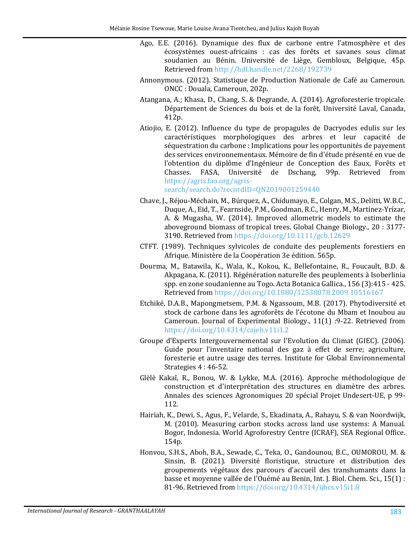- <span id="page-10-10"></span>Ago, E.E. (2016). Dynamique des flux de carbone entre l'atmosphère et des écosystèmes ouest-africains : cas des forêts et savanes sous climat soudanien au Bénin. Université de Liège, Gembloux, Belgique, 45p. Retrieved from <http://hdl.handle.net/2268/192739>
- <span id="page-10-3"></span>Annonymous. (2012). Statistique de Production Nationale de Café au Cameroun. ONCC : Douala, Cameroun, 202p.
- <span id="page-10-2"></span>Atangana, A.; Khasa, D., Chang, S. & Degrande, A. (2014). Agroforesterie tropicale. Département de Sciences du bois et de la forêt, Université Laval, Canada, 412p.
- <span id="page-10-9"></span>Atiojio, E. (2012). Influence du type de propagules de Dacryodes edulis sur les caractéristiques morphologiques des arbres et leur capacité de séquestration du carbone : Implications pour les opportunités de payement des services environnementaux. Mémoire de fin d'étude présenté en vue de l'obtention du diplôme d'Ingénieur de Conception des Eaux, Forêts et<br>Chasses. FASA, Université de Dschang, 99p. Retrieved from de Dschang, 99p. Retrieved from [https://agris.fao.org/agris-](https://agris.fao.org/agris-search/search.do?recordID=QN2019001259440)

[search/search.do?recordID=QN2019001259440](https://agris.fao.org/agris-search/search.do?recordID=QN2019001259440)

- <span id="page-10-8"></span>Chave, J., Réjou-Méchain, M., Búrquez, A., Chidumayo, E., Colgan, M.S., Delitti, W.B.C., Duque, A., Eid, T., Fearnside, P.M., Goodman, R.C., Henry, M., Martínez-Yrízar, A. & Mugasha, W. (2014). Improved allometric models to estimate the aboveground biomass of tropical trees. Global Change Biology., 20 : 3177- 3190. Retrieved from <https://doi.org/10.1111/gcb.12629>
- <span id="page-10-4"></span>CTFT. (1989). Techniques sylvicoles de conduite des peuplements forestiers en Afrique. Ministère de la Coopération 3e édition. 565p.
- <span id="page-10-6"></span>Dourma, M., Batawila, K., Wala, K., Kokou, K., Bellefontaine, R., Foucault, B.D. & Akpagana, K. (2011). Régénération naturelle des peuplements à Isoberlinia spp. en zone soudanienne au Togo. Acta Botanica Gallica., 156 (3):415 - 425. Retrieved from <https://doi.org/10.1080/12538078.2009.10516167>
- <span id="page-10-1"></span>Etchiké, D.A.B., Mapongmetsem, P.M. & Ngassoum, M.B. (2017). Phytodiversité et stock de carbone dans les agroforêts de l'écotone du Mbam et Inoubou au Cameroun. Journal of Experimental Biology., 11(1) :9-22. Retrieved from <https://doi.org/10.4314/cajeb.v11i1.2>
- Groupe d'Experts Intergouvernemental sur l'Evolution du Climat (GIEC). (2006). Guide pour l'inventaire national des gaz à effet de serre; agriculture, foresterie et autre usage des terres. Institute for Global Environnemental Strategies 4 : 46-52.
- <span id="page-10-7"></span>Glèlè Kakaî, R., Bonou, W. & Lykke, M.A. (2016). Approche méthodologique de construction et d'interprétation des structures en diamètre des arbres. Annales des sciences Agronomiques 20 spécial Projet Undesert-UE, p 99- 112.
- <span id="page-10-5"></span>Hairiah, K., Dewi, S., Agus, F., Velarde, S., Ekadinata, A., Rahayu, S. & van Noordwijk, M. (2010). Measuring carbon stocks across land use systems: A Manual. Bogor, Indonesia. World Agroforestry Centre (ICRAF), SEA Regional Office. 154p.
- <span id="page-10-0"></span>Honvou, S.H.S., Aboh, B.A., Sewade, C., Teka, O., Gandounou, B.C., OUMOROU, M. & Sinsin, B. (2021). Diversité floristique, structure et distribution des groupements végétaux des parcours d'accueil des transhumants dans la basse et moyenne vallée de l'Ouémé au Benin, Int. J. Biol. Chem. Sci., 15(1) : 81-96. Retrieved from <https://doi.org/10.4314/ijbcs.v15i1.8>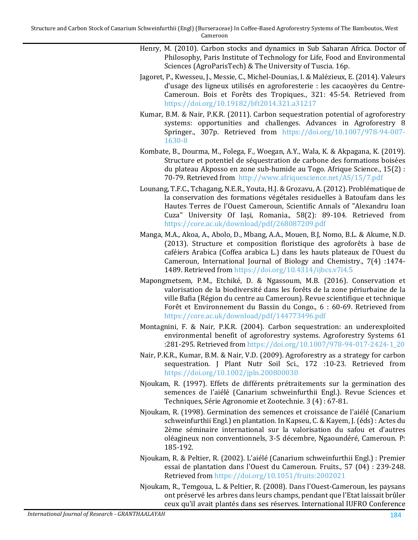- <span id="page-11-12"></span>Henry, M. (2010). Carbon stocks and dynamics in Sub Saharan Africa. Doctor of Philosophy, Paris Institute of Technology for Life, Food and Environmental Sciences (AgroParisTech) & The University of Tuscia. 16p.
- <span id="page-11-3"></span>Jagoret, P., Kwesseu, J., Messie, C., Michel-Dounias, I. & Malézieux, E. (2014). Valeurs d'usage des ligneux utilisés en agroforesterie : les cacaoyères du Centre-Cameroun. Bois et Forêts des Tropiques., 321: 45-54. Retrieved from <https://doi.org/10.19182/bft2014.321.a31217>
- <span id="page-11-5"></span>Kumar, B.M. & Nair, P.K.R. (2011). Carbon sequestration potential of agroforestry systems: opportunities and challenges. Advances in Agroforestry 8 Springer., 307p. Retrieved from [https://doi.org/10.1007/978-94-007-](https://doi.org/10.1007/978-94-007-1630-8) [1630-8](https://doi.org/10.1007/978-94-007-1630-8)
- <span id="page-11-6"></span>Kombate, B., Dourma, M., Folega, F., Woegan, A.Y., Wala, K. & Akpagana, K. (2019). Structure et potentiel de séquestration de carbone des formations boisées du plateau Akposso en zone sub-humide au Togo. Afrique Science., 15(2) : 70-79. Retrieved from<http://www.afriquescience.net/AS/15/7.pdf>
- <span id="page-11-0"></span>Lounang, T.F.C., Tchagang, N.E.R., Youta, H.J. & Grozavu, A. (2012). Problématique de la conservation des formations végétales residuelles à Batoufam dans les Hautes Terres de l'Ouest Cameroun, Scientific Annals of "Alexandru Ioan Cuza" University Of Iaşi, Romania., 58(2): 89-104. Retrieved from <https://core.ac.uk/download/pdf/268087209.pdf>
- <span id="page-11-9"></span>Manga, M.A., Akoa, A., Abolo, D., Mbang, A.A., Mouen, B.J, Nomo, B.L. & Akume, N.D. (2013). Structure et composition floristique des agroforêts à base de caféiers Arabica (Coffea arabica L.) dans les hauts plateaux de l'Ouest du Cameroun, International Journal of Biology and Chemistry., 7(4) :1474- 1489. Retrieved from <https://doi.org/10.4314/ijbcs.v7i4.5>
- <span id="page-11-2"></span>Mapongmetsem, P.M., Etchiké, D. & Ngassoum, M.B. (2016). Conservation et valorisation de la biodiversité dans les forêts de la zone périurbaine de la ville Bafia (Région du centre au Cameroun). Revue scientifique et technique Forêt et Environnement du Bassin du Congo., 6 : 60-69. Retrieved from <https://core.ac.uk/download/pdf/144773496.pdf>
- <span id="page-11-4"></span>Montagnini, F. & Nair, P.K.R. (2004). Carbon sequestration: an underexploited environmental benefit of agroforestry systems. Agroforestry Systems 61 :281-295. Retrieved from [https://doi.org/10.1007/978-94-017-2424-1\\_20](https://doi.org/10.1007/978-94-017-2424-1_20)
- <span id="page-11-8"></span>Nair, P.K.R., Kumar, B.M. & Nair, V.D. (2009). Agroforestry as a strategy for carbon sequestration. J Plant Nutr Soil Sci., 172 :10-23. Retrieved from <https://doi.org/10.1002/jpln.200800030>
- <span id="page-11-11"></span>Njoukam, R. (1997). Effets de différents prétraitements sur la germination des semences de l'aiélé (Canarium schweinfurthii Engl.). Revue Sciences et Techniques, Série Agronomie et Zootechnie. 3 (4) : 67-81.
- <span id="page-11-7"></span>Njoukam, R. (1998). Germination des semences et croissance de l'aiélé (Canarium schweinfurthii Engl.) en plantation. In Kapseu, C. & Kayem, J. (éds) : Actes du 2ème séminaire international sur la valorisation du safou et d'autres oléagineux non conventionnels, 3-5 décembre, Ngaoundéré, Cameroun. P: 185-192.
- <span id="page-11-10"></span>Njoukam, R. & Peltier, R. (2002). L'aiélé (Canarium schweinfurthii Engl.) : Premier essai de plantation dans l'Ouest du Cameroun. Fruits., 57 (04) : 239-248. Retrieved from <https://doi.org/10.1051/fruits:2002021>

<span id="page-11-1"></span>Njoukam, R., Temgoua, L. & Peltier, R. (2008). Dans l'Ouest-Cameroun, les paysans ont préservé les arbres dans leurs champs, pendant que l'Etat laissait brûler ceux qu'il avait plantés dans ses réserves. International IUFRO Conference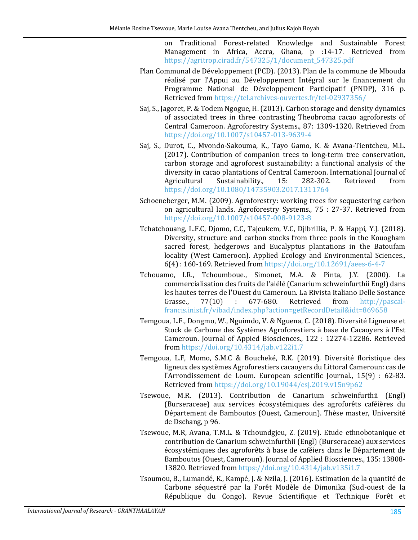on Traditional Forest-related Knowledge and Sustainable Forest Management in Africa, Accra, Ghana, p :14-17. Retrieved from [https://agritrop.cirad.fr/547325/1/document\\_547325.pdf](https://agritrop.cirad.fr/547325/1/document_547325.pdf)

- Plan Communal de Développement (PCD). (2013). Plan de la commune de Mbouda réalisé par l'Appui au Développement Intégral sur le financement du Programme National de Développement Participatif (PNDP), 316 p. Retrieved from <https://tel.archives-ouvertes.fr/tel-02937356/>
- <span id="page-12-1"></span>Saj, S., Jagoret, P. & Todem Ngogue, H. (2013). Carbon storage and density dynamics of associated trees in three contrasting Theobroma cacao agroforests of Central Cameroon. Agroforestry Systems., 87: 1309-1320. Retrieved from <https://doi.org/10.1007/s10457-013-9639-4>
- <span id="page-12-2"></span>Saj, S., Durot, C., Mvondo-Sakouma, K., Tayo Gamo, K. & Avana-Tientcheu, M.L. (2017). Contribution of companion trees to long-term tree conservation, carbon storage and agroforest sustainability: a functional analysis of the diversity in cacao plantations of Central Cameroon. International Journal of Agricultural Sustainability., 15: 282-302. Retrieved from Sustainability., <https://doi.org/10.1080/14735903.2017.1311764>
- <span id="page-12-5"></span>Schoeneberger, M.M. (2009). Agroforestry: working trees for sequestering carbon on agricultural lands. Agroforestry Systems., 75 : 27-37. Retrieved from <https://doi.org/10.1007/s10457-008-9123-8>
- <span id="page-12-6"></span>Tchatchouang, L.F.C, Djomo, C.C, Tajeukem, V.C, Djibrillia, P. & Happi, Y.J. (2018). Diversity, structure and carbon stocks from three pools in the Kouogham sacred forest, hedgerows and Eucalyptus plantations in the Batoufam locality (West Cameroon). Applied Ecology and Environmental Sciences., 6(4) : 160-169. Retrieved from <https://doi.org/10.12691/aees-6-4-7>
- <span id="page-12-7"></span>Tchouamo, I.R., Tchoumboue., Simonet, M.A. & Pinta, J.Y. (2000). La commercialisation des fruits de l'aiélé (Canarium schweinfurthii Engl) dans les hautes terres de l'Ouest du Cameroun. La Rivista Italiano Delle Sostance<br>Grasse., 77(10) : 677-680. Retrieved from http://pascal[http://pascal](http://pascal-francis.inist.fr/vibad/index.php?action=getRecordDetail&idt=869658)[francis.inist.fr/vibad/index.php?action=getRecordDetail&idt=869658](http://pascal-francis.inist.fr/vibad/index.php?action=getRecordDetail&idt=869658)
- <span id="page-12-4"></span>Temgoua, L.F., Dongmo, W., Nguimdo, V. & Nguena, C. (2018). Diversité Ligneuse et Stock de Carbone des Systèmes Agroforestiers à base de Cacaoyers à l'Est Cameroun. Journal of Appied Biosciences., 122 : 12274-12286. Retrieved from <https://doi.org/10.4314/jab.v122i1.7>
- <span id="page-12-3"></span>Temgoua, L.F, Momo, S.M.C & Boucheké, R.K. (2019). Diversité floristique des ligneux des systèmes Agroforestiers cacaoyers du Littoral Cameroun: cas de l'Arrondissement de Loum. European scientific Journal., 15(9) : 62-83. Retrieved from <https://doi.org/10.19044/esj.2019.v15n9p62>
- <span id="page-12-0"></span>Tsewoue, M.R. (2013). Contribution de Canarium schweinfurthii (Engl) (Burseraceae) aux services écosystémiques des agroforêts caféières du Département de Bamboutos (Ouest, Cameroun). Thèse master, Université de Dschang, p 96.
- <span id="page-12-8"></span>Tsewoue, M.R, Avana, T.M.L. & Tchoundgjeu, Z. (2019). Etude ethnobotanique et contribution de Canarium schweinfurthii (Engl) (Burseraceae) aux services écosystémiques des agroforêts à base de caféiers dans le Département de Bamboutos (Ouest, Cameroun). Journal of Applied Biosciences., 135: 13808- 13820. Retrieved from <https://doi.org/10.4314/jab.v135i1.7>
- <span id="page-12-9"></span>Tsoumou, B., Lumandé, K., Kampé, J. & Nzila, J. (2016). Estimation de la quantité de Carbone séquestré par la Forêt Modèle de Dimonika (Sud-ouest de la République du Congo). Revue Scientifique et Technique Forêt et